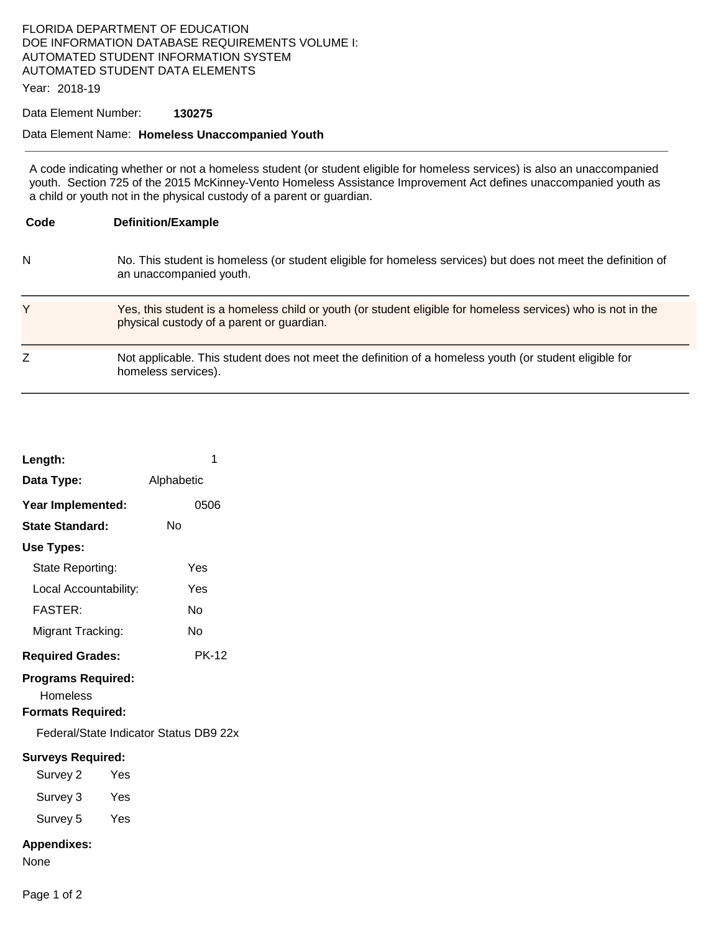### FLORIDA DEPARTMENT OF EDUCATION DOE INFORMATION DATABASE REQUIREMENTS VOLUME I: AUTOMATED STUDENT INFORMATION SYSTEM AUTOMATED STUDENT DATA ELEMENTS

Year: 2018-19

### Data Element Number: **130275**

#### Data Element Name: **Homeless Unaccompanied Youth**

A code indicating whether or not a homeless student (or student eligible for homeless services) is also an unaccompanied youth. Section 725 of the 2015 McKinney-Vento Homeless Assistance Improvement Act defines unaccompanied youth as a child or youth not in the physical custody of a parent or guardian.

| Code | <b>Definition/Example</b>                                                                                                                                 |
|------|-----------------------------------------------------------------------------------------------------------------------------------------------------------|
| N    | No. This student is homeless (or student eligible for homeless services) but does not meet the definition of<br>an unaccompanied youth.                   |
| Y    | Yes, this student is a homeless child or youth (or student eligible for homeless services) who is not in the<br>physical custody of a parent or guardian. |
| Z    | Not applicable. This student does not meet the definition of a homeless youth (or student eligible for<br>homeless services).                             |

| Length:                                                                           | 1            |  |  |  |
|-----------------------------------------------------------------------------------|--------------|--|--|--|
| Data Type:                                                                        | Alphabetic   |  |  |  |
| Year Implemented:                                                                 | 0506         |  |  |  |
| State Standard:                                                                   | Nο           |  |  |  |
| Use Types:                                                                        |              |  |  |  |
| State Reporting:                                                                  | Yes          |  |  |  |
| Local Accountability:                                                             | Yes          |  |  |  |
| <b>FASTER:</b>                                                                    | N٥           |  |  |  |
| Migrant Tracking:                                                                 | N٥           |  |  |  |
| <b>Required Grades:</b>                                                           | <b>PK-12</b> |  |  |  |
| <b>Programs Required:</b><br>Homeless<br><b>Formats Required:</b>                 |              |  |  |  |
| Federal/State Indicator Status DB9 22x                                            |              |  |  |  |
| <b>Surveys Required:</b><br>Survey 2<br>Yes<br>Survey 3<br>Yes<br>Survey 5<br>Yes |              |  |  |  |
| <b>Appendixes:</b><br>None                                                        |              |  |  |  |